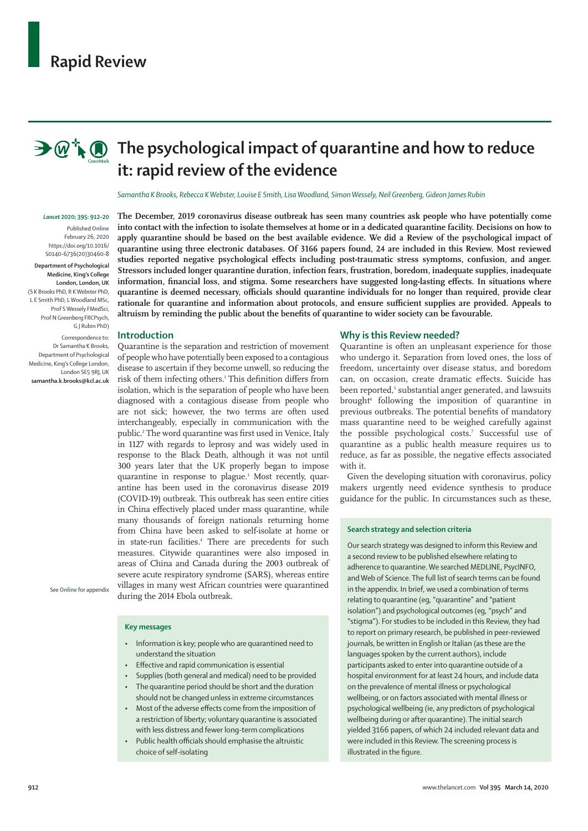## **Rapid Review**



# $\mathbf{F} \otimes \mathbf{F}$  The psychological impact of quarantine and how to reduce **it: rapid review of the evidence**

*Samantha K Brooks, Rebecca K Webster, Louise E Smith, Lisa Woodland, Simon Wessely, Neil Greenberg, Gideon James Rubin*

#### *Lancet* **2020; 395: 912–20**

Published **Online** February 26, 2020 https://doi.org/10.1016/ S0140-6736(20)30460-8 **Department of Psychological Medicine, King's College** 

**London, London, UK** (S K Brooks PhD, R K Webster PhD, L E Smith PhD, L Woodland MSc, Prof S Wessely FMedSci, Prof N Greenberg FRCPsych, G J Rubin PhD)

Correspondence to: Dr Samantha K Brooks, Department of Psychological Medicine, King's College London, London SE5 9RJ, UK **samantha.k.brooks@kcl.ac.uk**

**The December, 2019 coronavirus disease outbreak has seen many countries ask people who have potentially come into contact with the infection to isolate themselves at home or in a dedicated quarantine facility. Decisions on how to**  apply quarantine should be based on the best available evidence. We did a Review of the psychological impact of **quarantine using three electronic databases. Of 3166 papers found, 24 are included in this Review. Most reviewed studies reported negative psychological effects including post-traumatic stress symptoms, confusion, and anger. Stressors included longer quarantine duration, infection fears, frustration, boredom, inadequate supplies, inadequate information, financial loss, and stigma. Some researchers have suggested long-lasting effects. In situations where quarantine is deemed necessary, officials should quarantine individuals for no longer than required, provide clear rationale for quarantine and information about protocols, and ensure sufficient supplies are provided. Appeals to altruism by reminding the public about the benefits of quarantine to wider society can be favourable.**

#### **Introduction**

Quarantine is the separation and restriction of movement of people who have potentially been exposed to a contagious disease to ascertain if they become unwell, so reducing the risk of them infecting others.1 This definition differs from isolation, which is the separation of people who have been diagnosed with a contagious disease from people who are not sick; however, the two terms are often used interchangeably, especially in communication with the public.<sup>2</sup> The word quarantine was first used in Venice, Italy in 1127 with regards to leprosy and was widely used in response to the Black Death, although it was not until 300 years later that the UK properly began to impose quarantine in response to plague.<sup>3</sup> Most recently, quarantine has been used in the coronavirus disease 2019 (COVID-19) outbreak. This outbreak has seen entire cities in China effectively placed under mass quarantine, while many thousands of foreign nationals returning home from China have been asked to self-isolate at home or in state-run facilities.4 There are precedents for such measures. Citywide quarantines were also imposed in areas of China and Canada during the 2003 outbreak of severe acute respiratory syndrome (SARS), whereas entire villages in many west African countries were quarantined during the 2014 Ebola outbreak.

See **Online** for appendix

#### **Key messages**

- Information is key; people who are quarantined need to understand the situation
- Effective and rapid communication is essential
- Supplies (both general and medical) need to be provided • The quarantine period should be short and the duration
- should not be changed unless in extreme circumstances • Most of the adverse effects come from the imposition of
- a restriction of liberty; voluntary quarantine is associated with less distress and fewer long-term complications
- Public health officials should emphasise the altruistic choice of self-isolating

## **Why is this Review needed?**

Quarantine is often an unpleasant experience for those who undergo it. Separation from loved ones, the loss of freedom, uncertainty over disease status, and boredom can, on occasion, create dramatic effects. Suicide has been reported,<sup>5</sup> substantial anger generated, and lawsuits brought<sup>6</sup> following the imposition of quarantine in previous outbreaks. The potential benefits of mandatory mass quarantine need to be weighed carefully against the possible psychological costs.7 Successful use of quarantine as a public health measure requires us to reduce, as far as possible, the negative effects associated with it.

Given the developing situation with coronavirus, policy makers urgently need evidence synthesis to produce guidance for the public. In circumstances such as these,

## **Search strategy and selection criteria**

Our search strategy was designed to inform this Review and a second review to be published elsewhere relating to adherence to quarantine. We searched MEDLINE, PsycINFO, and Web of Science. The full list of search terms can be found in the appendix. In brief, we used a combination of terms relating to quarantine (eg, "quarantine" and "patient isolation") and psychological outcomes (eg, "psych" and "stigma"). For studies to be included in this Review, they had to report on primary research, be published in peer-reviewed journals, be written in English or Italian (as these are the languages spoken by the current authors), include participants asked to enter into quarantine outside of a hospital environment for at least 24 hours, and include data on the prevalence of mental illness or psychological wellbeing, or on factors associated with mental illness or psychological wellbeing (ie, any predictors of psychological wellbeing during or after quarantine). The initial search yielded 3166 papers, of which 24 included relevant data and were included in this Review. The screening process is illustrated in the figure.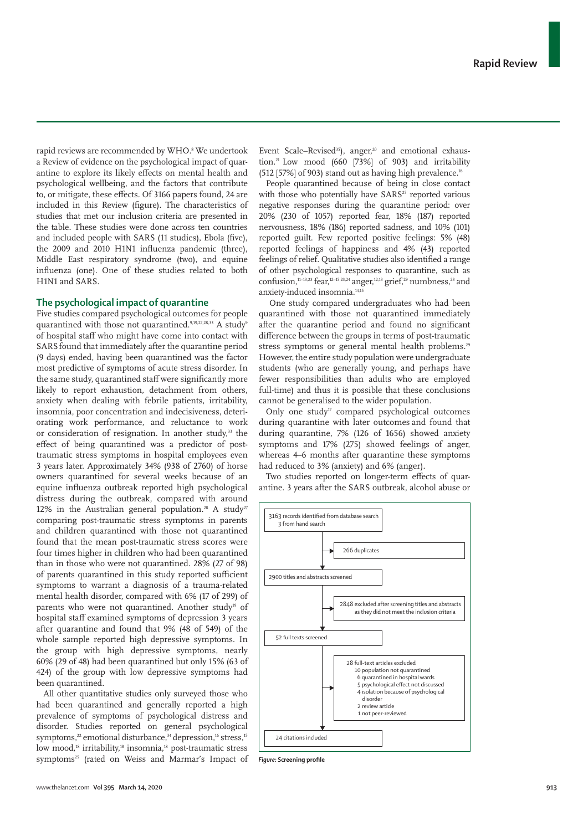rapid reviews are recommended by WHO.<sup>8</sup> We undertook a Review of evidence on the psychological impact of quarantine to explore its likely effects on mental health and psychological wellbeing, and the factors that contribute to, or mitigate, these effects. Of 3166 papers found, 24 are included in this Review (figure). The characteristics of studies that met our inclusion criteria are presented in the table. These studies were done across ten countries and included people with SARS (11 studies), Ebola (five), the 2009 and 2010 H1N1 influenza pandemic (three), Middle East respiratory syndrome (two), and equine influenza (one). One of these studies related to both H1N1 and SARS.

## **The psychological impact of quarantine**

Five studies compared psychological outcomes for people quarantined with those not quarantined.<sup>9,19,27,28,33</sup> A study<sup>9</sup> of hospital staff who might have come into contact with SARSfound that immediately after the quarantine period (9 days) ended, having been quarantined was the factor most predictive of symptoms of acute stress disorder. In the same study, quarantined staff were significantly more likely to report exhaustion, detachment from others, anxiety when dealing with febrile patients, irritability, insomnia, poor concentration and indecisiveness, deteriorating work performance, and reluctance to work or consideration of resignation. In another study,<sup>33</sup> the effect of being quarantined was a predictor of posttraumatic stress symptoms in hospital employees even 3 years later. Approximately 34% (938 of 2760) of horse owners quarantined for several weeks because of an equine influenza outbreak reported high psychological distress during the outbreak, compared with around 12% in the Australian general population.<sup>28</sup> A study<sup>27</sup> comparing post-traumatic stress symptoms in parents and children quarantined with those not quarantined found that the mean post-traumatic stress scores were four times higher in children who had been quarantined than in those who were not quarantined. 28% (27 of 98) of parents quarantined in this study reported sufficient symptoms to warrant a diagnosis of a trauma-related mental health disorder, compared with 6% (17 of 299) of parents who were not quarantined. Another study<sup>19</sup> of hospital staff examined symptoms of depression 3 years after quarantine and found that 9% (48 of 549) of the whole sample reported high depressive symptoms. In the group with high depressive symptoms, nearly 60% (29 of 48) had been quarantined but only 15% (63 of 424) of the group with low depressive symptoms had been quarantined.

All other quantitative studies only surveyed those who had been quarantined and generally reported a high prevalence of symptoms of psychological distress and disorder. Studies reported on general psychological symptoms,<sup>22</sup> emotional disturbance,<sup>34</sup> depression,<sup>16</sup> stress,<sup>15</sup> low mood,<sup>18</sup> irritability,<sup>18</sup> insomnia,<sup>18</sup> post-traumatic stress symptoms<sup>25</sup> (rated on Weiss and Marmar's Impact of Event Scale–Revised<sup>35</sup>), anger,<sup>20</sup> and emotional exhaustion.<sup>21</sup> Low mood  $(660 \t|73\%]$  of 903) and irritability (512 [57%] of 903) stand out as having high prevalence.<sup>18</sup>

People quarantined because of being in close contact with those who potentially have  $SARS^{25}$  reported various negative responses during the quarantine period: over 20% (230 of 1057) reported fear, 18% (187) reported nervousness, 18% (186) reported sadness, and 10% (101) reported guilt. Few reported positive feelings: 5% (48) reported feelings of happiness and 4% (43) reported feelings of relief. Qualitative studies also identified a range of other psychological responses to quarantine, such as confusion,<sup>11-13,23</sup> fear,<sup>12-15,23,24</sup> anger,<sup>12,13</sup> grief,<sup>29</sup> numbness,<sup>23</sup> and anxiety-induced insomnia.14,15

 One study compared undergraduates who had been quarantined with those not quarantined immediately after the quarantine period and found no significant difference between the groups in terms of post-traumatic stress symptoms or general mental health problems.<sup>29</sup> However, the entire study population were undergraduate students (who are generally young, and perhaps have fewer responsibilities than adults who are employed full-time) and thus it is possible that these conclusions cannot be generalised to the wider population.

Only one study<sup> $\sigma$ </sup> compared psychological outcomes during quarantine with later outcomes and found that during quarantine, 7% (126 of 1656) showed anxiety symptoms and 17% (275) showed feelings of anger, whereas 4–6 months after quarantine these symptoms had reduced to 3% (anxiety) and 6% (anger).

Two studies reported on longer-term effects of quarantine. 3 years after the SARS outbreak, alcohol abuse or



*Figure:* **Screening profile**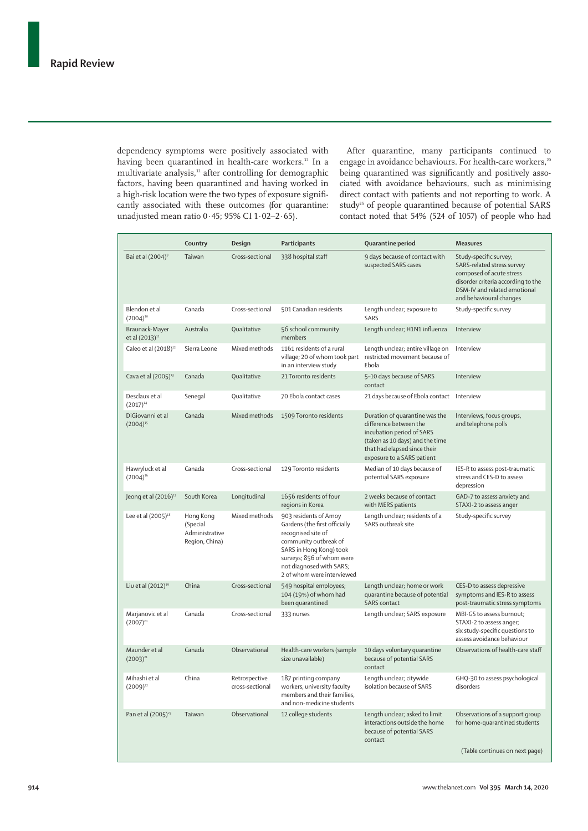dependency symptoms were positively associated with having been quarantined in health-care workers.<sup>32</sup> In a multivariate analysis,<sup>32</sup> after controlling for demographic factors, having been quarantined and having worked in a high-risk location were the two types of exposure significantly associated with these outcomes (for quarantine: unadjusted mean ratio 0·45; 95% CI 1·02–2·65).

After quarantine, many participants continued to engage in avoidance behaviours. For health-care workers,<sup>20</sup> being quarantined was significantly and positively associated with avoidance behaviours, such as minimising direct contact with patients and not reporting to work. A study<sup>25</sup> of people quarantined because of potential SARS contact noted that 54% (524 of 1057) of people who had

|                                              | Country                                                   | Design                           | Participants                                                                                                                                                                                                            | Quarantine period                                                                                                                                                                      | <b>Measures</b>                                                                                                                                                                   |
|----------------------------------------------|-----------------------------------------------------------|----------------------------------|-------------------------------------------------------------------------------------------------------------------------------------------------------------------------------------------------------------------------|----------------------------------------------------------------------------------------------------------------------------------------------------------------------------------------|-----------------------------------------------------------------------------------------------------------------------------------------------------------------------------------|
| Bai et al (2004) <sup>9</sup>                | Taiwan                                                    | Cross-sectional                  | 338 hospital staff                                                                                                                                                                                                      | 9 days because of contact with<br>suspected SARS cases                                                                                                                                 | Study-specific survey;<br>SARS-related stress survey<br>composed of acute stress<br>disorder criteria according to the<br>DSM-IV and related emotional<br>and behavioural changes |
| Blendon et al<br>$(2004)^{10}$               | Canada                                                    | Cross-sectional                  | 501 Canadian residents                                                                                                                                                                                                  | Length unclear; exposure to<br><b>SARS</b>                                                                                                                                             | Study-specific survey                                                                                                                                                             |
| Braunack-Mayer<br>et al (2013) <sup>11</sup> | Australia                                                 | Qualitative                      | 56 school community<br>members                                                                                                                                                                                          | Length unclear; H1N1 influenza                                                                                                                                                         | Interview                                                                                                                                                                         |
| Caleo et al $(2018)^{12}$                    | Sierra Leone                                              | Mixed methods                    | 1161 residents of a rural<br>village; 20 of whom took part<br>in an interview study                                                                                                                                     | Length unclear; entire village on<br>restricted movement because of<br>Ebola                                                                                                           | Interview                                                                                                                                                                         |
| Cava et al $(2005)^{13}$                     | Canada                                                    | Qualitative                      | 21 Toronto residents                                                                                                                                                                                                    | 5-10 days because of SARS<br>contact                                                                                                                                                   | Interview                                                                                                                                                                         |
| Desclaux et al<br>$(2017)^{14}$              | Senegal                                                   | Qualitative                      | 70 Ebola contact cases                                                                                                                                                                                                  | 21 days because of Ebola contact Interview                                                                                                                                             |                                                                                                                                                                                   |
| DiGiovanni et al<br>$(2004)^{15}$            | Canada                                                    | Mixed methods                    | 1509 Toronto residents                                                                                                                                                                                                  | Duration of quarantine was the<br>difference between the<br>incubation period of SARS<br>(taken as 10 days) and the time<br>that had elapsed since their<br>exposure to a SARS patient | Interviews, focus groups,<br>and telephone polls                                                                                                                                  |
| Hawryluck et al<br>$(2004)^{16}$             | Canada                                                    | Cross-sectional                  | 129 Toronto residents                                                                                                                                                                                                   | Median of 10 days because of<br>potential SARS exposure                                                                                                                                | IES-R to assess post-traumatic<br>stress and CES-D to assess<br>depression                                                                                                        |
| Jeong et al (2016) <sup>17</sup>             | South Korea                                               | Longitudinal                     | 1656 residents of four<br>regions in Korea                                                                                                                                                                              | 2 weeks because of contact<br>with MERS patients                                                                                                                                       | GAD-7 to assess anxiety and<br>STAXI-2 to assess anger                                                                                                                            |
| Lee et al (2005) <sup>18</sup>               | Hong Kong<br>(Special<br>Administrative<br>Region, China) | Mixed methods                    | 903 residents of Amoy<br>Gardens (the first officially<br>recognised site of<br>community outbreak of<br>SARS in Hong Kong) took<br>surveys; 856 of whom were<br>not diagnosed with SARS;<br>2 of whom were interviewed | Length unclear; residents of a<br>SARS outbreak site                                                                                                                                   | Study-specific survey                                                                                                                                                             |
| Liu et al $(2012)^{19}$                      | China                                                     | Cross-sectional                  | 549 hospital employees;<br>104 (19%) of whom had<br>been quarantined                                                                                                                                                    | Length unclear; home or work<br>quarantine because of potential<br><b>SARS</b> contact                                                                                                 | CES-D to assess depressive<br>symptoms and IES-R to assess<br>post-traumatic stress symptoms                                                                                      |
| Marjanovic et al<br>$(2007)^{20}$            | Canada                                                    | Cross-sectional                  | 333 nurses                                                                                                                                                                                                              | Length unclear; SARS exposure                                                                                                                                                          | MBI-GS to assess burnout;<br>STAXI-2 to assess anger;<br>six study-specific questions to<br>assess avoidance behaviour                                                            |
| Maunder et al<br>$(2003)^{21}$               | Canada                                                    | Observational                    | Health-care workers (sample<br>size unavailable)                                                                                                                                                                        | 10 days voluntary quarantine<br>because of potential SARS<br>contact                                                                                                                   | Observations of health-care staff                                                                                                                                                 |
| Mihashi et al<br>$(2009)^{22}$               | China                                                     | Retrospective<br>cross-sectional | 187 printing company<br>workers, university faculty<br>members and their families,<br>and non-medicine students                                                                                                         | Length unclear; citywide<br>isolation because of SARS                                                                                                                                  | GHQ-30 to assess psychological<br>disorders                                                                                                                                       |
| Pan et al (2005) <sup>23</sup>               | Taiwan                                                    | Observational                    | 12 college students                                                                                                                                                                                                     | Length unclear; asked to limit<br>interactions outside the home<br>because of potential SARS<br>contact                                                                                | Observations of a support group<br>for home-quarantined students                                                                                                                  |
|                                              |                                                           |                                  |                                                                                                                                                                                                                         |                                                                                                                                                                                        | (Table continues on next page)                                                                                                                                                    |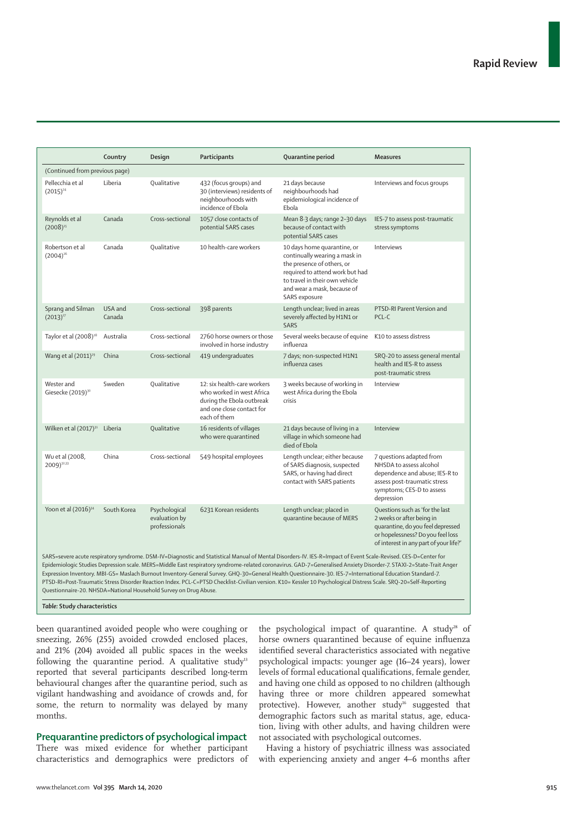|                                                                                                                                                                                                                                                                                                                                                                                                                                                                                                   | Country           | Design                                          | Participants                                                                                                                       | Quarantine period                                                                                                                                                                                                      | <b>Measures</b>                                                                                                                                                                  |  |  |  |  |
|---------------------------------------------------------------------------------------------------------------------------------------------------------------------------------------------------------------------------------------------------------------------------------------------------------------------------------------------------------------------------------------------------------------------------------------------------------------------------------------------------|-------------------|-------------------------------------------------|------------------------------------------------------------------------------------------------------------------------------------|------------------------------------------------------------------------------------------------------------------------------------------------------------------------------------------------------------------------|----------------------------------------------------------------------------------------------------------------------------------------------------------------------------------|--|--|--|--|
| (Continued from previous page)                                                                                                                                                                                                                                                                                                                                                                                                                                                                    |                   |                                                 |                                                                                                                                    |                                                                                                                                                                                                                        |                                                                                                                                                                                  |  |  |  |  |
| Pellecchia et al<br>$(2015)^{24}$                                                                                                                                                                                                                                                                                                                                                                                                                                                                 | Liberia           | Qualitative                                     | 432 (focus groups) and<br>30 (interviews) residents of<br>neighbourhoods with<br>incidence of Ebola                                | 21 days because<br>neighbourhoods had<br>epidemiological incidence of<br>Ebola                                                                                                                                         | Interviews and focus groups                                                                                                                                                      |  |  |  |  |
| Reynolds et al<br>$(2008)^{25}$                                                                                                                                                                                                                                                                                                                                                                                                                                                                   | Canada            | Cross-sectional                                 | 1057 close contacts of<br>potential SARS cases                                                                                     | Mean 8.3 days; range 2-30 days<br>because of contact with<br>potential SARS cases                                                                                                                                      | IES-7 to assess post-traumatic<br>stress symptoms                                                                                                                                |  |  |  |  |
| Robertson et al<br>$(2004)^{26}$                                                                                                                                                                                                                                                                                                                                                                                                                                                                  | Canada            | Qualitative                                     | 10 health-care workers                                                                                                             | 10 days home quarantine, or<br>continually wearing a mask in<br>the presence of others, or<br>required to attend work but had<br>to travel in their own vehicle<br>and wear a mask, because of<br><b>SARS</b> exposure | Interviews                                                                                                                                                                       |  |  |  |  |
| Sprang and Silman<br>$(2013)^{27}$                                                                                                                                                                                                                                                                                                                                                                                                                                                                | USA and<br>Canada | Cross-sectional                                 | 398 parents                                                                                                                        | Length unclear; lived in areas<br>severely affected by H1N1 or<br><b>SARS</b>                                                                                                                                          | PTSD-RI Parent Version and<br>PCL-C                                                                                                                                              |  |  |  |  |
| Taylor et al (2008) <sup>28</sup>                                                                                                                                                                                                                                                                                                                                                                                                                                                                 | Australia         | Cross-sectional                                 | 2760 horse owners or those<br>involved in horse industry                                                                           | Several weeks because of equine<br>influenza                                                                                                                                                                           | K10 to assess distress                                                                                                                                                           |  |  |  |  |
| Wang et al (2011) <sup>29</sup>                                                                                                                                                                                                                                                                                                                                                                                                                                                                   | China             | Cross-sectional                                 | 419 undergraduates                                                                                                                 | 7 days; non-suspected H1N1<br>influenza cases                                                                                                                                                                          | SRQ-20 to assess general mental<br>health and IES-R to assess<br>post-traumatic stress                                                                                           |  |  |  |  |
| Wester and<br>Giesecke (2019) <sup>30</sup>                                                                                                                                                                                                                                                                                                                                                                                                                                                       | Sweden            | Qualitative                                     | 12: six health-care workers<br>who worked in west Africa<br>during the Ebola outbreak<br>and one close contact for<br>each of them | 3 weeks because of working in<br>west Africa during the Ebola<br>crisis                                                                                                                                                | Interview                                                                                                                                                                        |  |  |  |  |
| Wilken et al (2017) <sup>31</sup> Liberia                                                                                                                                                                                                                                                                                                                                                                                                                                                         |                   | Qualitative                                     | 16 residents of villages<br>who were quarantined                                                                                   | 21 days because of living in a<br>village in which someone had<br>died of Ebola                                                                                                                                        | Interview                                                                                                                                                                        |  |  |  |  |
| Wu et al (2008,<br>2009) <sup>32,33</sup>                                                                                                                                                                                                                                                                                                                                                                                                                                                         | China             | Cross-sectional                                 | 549 hospital employees                                                                                                             | Length unclear; either because<br>of SARS diagnosis, suspected<br>SARS, or having had direct<br>contact with SARS patients                                                                                             | 7 questions adapted from<br>NHSDA to assess alcohol<br>dependence and abuse; IES-R to<br>assess post-traumatic stress<br>symptoms; CES-D to assess<br>depression                 |  |  |  |  |
| Yoon et al (2016) <sup>34</sup>                                                                                                                                                                                                                                                                                                                                                                                                                                                                   | South Korea       | Psychological<br>evaluation by<br>professionals | 6231 Korean residents                                                                                                              | Length unclear; placed in<br>quarantine because of MERS                                                                                                                                                                | Questions such as 'for the last<br>2 weeks or after being in<br>quarantine, do you feel depressed<br>or hopelessness? Do you feel loss<br>of interest in any part of your life?' |  |  |  |  |
| SARS=severe acute respiratory syndrome. DSM-IV=Diagnostic and Statistical Manual of Mental Disorders-IV. IES-R=Impact of Event Scale-Revised. CES-D=Center for<br>Epidemiologic Studies Depression scale. MERS=Middle East respiratory syndrome-related coronavirus. GAD-7=Generalised Anxiety Disorder-7. STAXI-2=State-Trait Anger<br>Expression Inventory. MBI-GS= Maslach Burnout Inventory-General Survey. GHQ-30=General Health Questionnaire-30. IES-7=International Education Standard-7. |                   |                                                 |                                                                                                                                    |                                                                                                                                                                                                                        |                                                                                                                                                                                  |  |  |  |  |

PTSD-RI=Post-Traumatic Stress Disorder Reaction Index. PCL-C=PTSD Checklist-Civilian version. K10= Kessler 10 Psychological Distress Scale. SRQ-20=Self-Reporting Questionnaire-20. NHSDA=National Household Survey on Drug Abuse.

*Table:* **Study characteristics**

been quarantined avoided people who were coughing or sneezing, 26% (255) avoided crowded enclosed places, and 21% (204) avoided all public spaces in the weeks following the quarantine period. A qualitative study<sup>13</sup> reported that several participants described long-term behavioural changes after the quarantine period, such as vigilant handwashing and avoidance of crowds and, for some, the return to normality was delayed by many months.

## **Prequarantine predictors of psychological impact**

There was mixed evidence for whether participant characteristics and demographics were predictors of the psychological impact of quarantine. A study<sup>28</sup> of horse owners quarantined because of equine influenza identified several characteristics associated with negative psychological impacts: younger age (16–24 years), lower levels of formal educational qualifications, female gender, and having one child as opposed to no children (although having three or more children appeared somewhat protective). However, another study<sup>16</sup> suggested that demographic factors such as marital status, age, education, living with other adults, and having children were not associated with psychological outcomes.

Having a history of psychiatric illness was associated with experiencing anxiety and anger 4–6 months after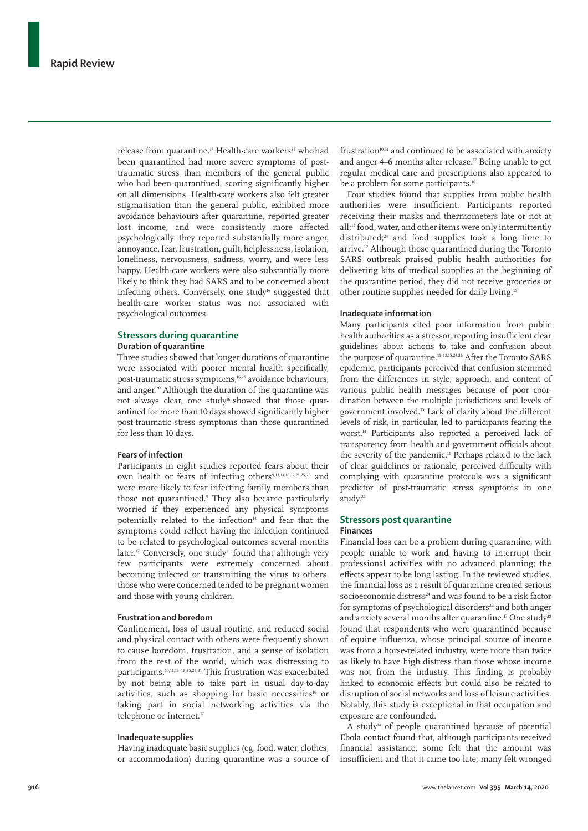release from quarantine.<sup>17</sup> Health-care workers<sup>25</sup> who had been quarantined had more severe symptoms of posttraumatic stress than members of the general public who had been quarantined, scoring significantly higher on all dimensions. Health-care workers also felt greater stigmatisation than the general public, exhibited more avoidance behaviours after quarantine, reported greater lost income, and were consistently more affected psychologically: they reported substantially more anger, annoyance, fear, frustration, guilt, helplessness, isolation, loneliness, nervousness, sadness, worry, and were less happy. Health-care workers were also substantially more likely to think they had SARS and to be concerned about infecting others. Conversely, one study<sup>16</sup> suggested that health-care worker status was not associated with psychological outcomes.

## **Stressors during quarantine**

## **Duration of quarantine**

Three studies showed that longer durations of quarantine were associated with poorer mental health specifically, post-traumatic stress symptoms,<sup>16,25</sup> avoidance behaviours, and anger.<sup>20</sup> Although the duration of the quarantine was not always clear, one study<sup>16</sup> showed that those quarantined for more than 10 days showed significantly higher post-traumatic stress symptoms than those quarantined for less than 10 days.

## **Fears of infection**

Participants in eight studies reported fears about their own health or fears of infecting others<sup>9,13,14,16,17,21,25,26</sup> and were more likely to fear infecting family members than those not quarantined.9 They also became particularly worried if they experienced any physical symptoms potentially related to the infection<sup>14</sup> and fear that the symptoms could reflect having the infection continued to be related to psychological outcomes several months later.<sup>17</sup> Conversely, one study<sup>11</sup> found that although very few participants were extremely concerned about becoming infected or transmitting the virus to others, those who were concerned tended to be pregnant women and those with young children.

## **Frustration and boredom**

Confinement, loss of usual routine, and reduced social and physical contact with others were frequently shown to cause boredom, frustration, and a sense of isolation from the rest of the world, which was distressing to participants.10,11,13–16,25,26,31 This frustration was exacerbated by not being able to take part in usual day-to-day activities, such as shopping for basic necessities<sup>16</sup> or taking part in social networking activities via the telephone or internet.<sup>17</sup>

## **Inadequate supplies**

Having inadequate basic supplies (eg, food, water, clothes, or accommodation) during quarantine was a source of frustration<sup>10,31</sup> and continued to be associated with anxiety and anger 4–6 months after release.<sup>17</sup> Being unable to get regular medical care and prescriptions also appeared to be a problem for some participants.<sup>10</sup>

Four studies found that supplies from public health authorities were insufficient. Participants reported receiving their masks and thermometers late or not at all,<sup>13</sup> food, water, and other items were only intermittently distributed;24 and food supplies took a long time to arrive.12 Although those quarantined during the Toronto SARS outbreak praised public health authorities for delivering kits of medical supplies at the beginning of the quarantine period, they did not receive groceries or other routine supplies needed for daily living.15

## **Inadequate information**

Many participants cited poor information from public health authorities as a stressor, reporting insufficient clear guidelines about actions to take and confusion about the purpose of quarantine.<sup>11-13,15,24,26</sup> After the Toronto SARS epidemic, participants perceived that confusion stemmed from the differences in style, approach, and content of various public health messages because of poor coordination between the multiple jurisdictions and levels of government involved.15 Lack of clarity about the different levels of risk, in particular, led to participants fearing the worst.14 Participants also reported a perceived lack of transparency from health and government officials about the severity of the pandemic.<sup>11</sup> Perhaps related to the lack of clear guidelines or rationale, perceived difficulty with complying with quarantine protocols was a significant predictor of post-traumatic stress symptoms in one study. 25

#### **Stressors post quarantine Finances**

Financial loss can be a problem during quarantine, with people unable to work and having to interrupt their professional activities with no advanced planning; the effects appear to be long lasting. In the reviewed studies, the financial loss as a result of quarantine created serious socioeconomic distress<sup>24</sup> and was found to be a risk factor for symptoms of psychological disorders<sup>22</sup> and both anger and anxiety several months after quarantine.<sup>17</sup> One study<sup>28</sup> found that respondents who were quarantined because of equine influenza, whose principal source of income was from a horse-related industry, were more than twice as likely to have high distress than those whose income was not from the industry. This finding is probably linked to economic effects but could also be related to disruption of social networks and loss of leisure activities. Notably, this study is exceptional in that occupation and exposure are confounded.

A study14 of people quarantined because of potential Ebola contact found that, although participants received financial assistance, some felt that the amount was insufficient and that it came too late; many felt wronged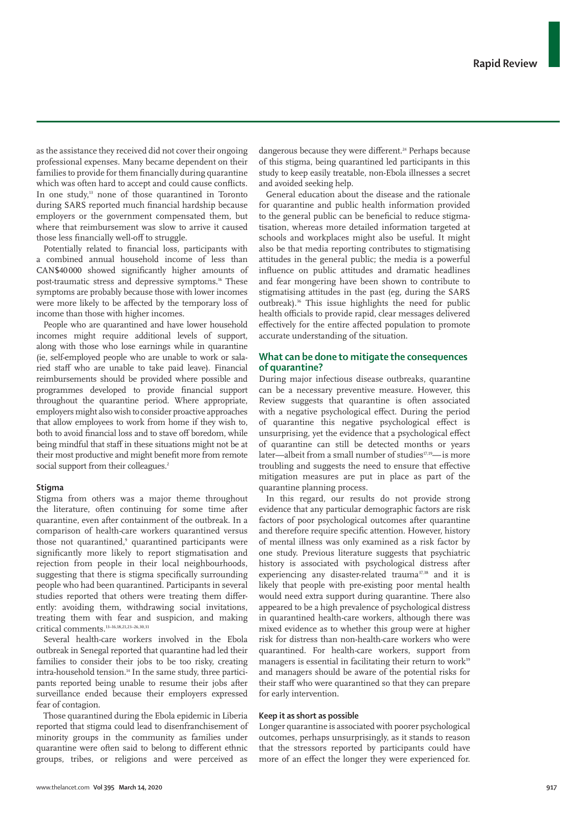as the assistance they received did not cover their ongoing professional expenses. Many became dependent on their families to provide for them financially during quarantine which was often hard to accept and could cause conflicts. In one study,<sup>13</sup> none of those quarantined in Toronto during SARS reported much financial hardship because employers or the government compensated them, but where that reimbursement was slow to arrive it caused those less financially well-off to struggle.

Potentially related to financial loss, participants with a combined annual household income of less than CAN\$40000 showed significantly higher amounts of post-traumatic stress and depressive symptoms.16 These symptoms are probably because those with lower incomes were more likely to be affected by the temporary loss of income than those with higher incomes.

People who are quarantined and have lower household incomes might require additional levels of support, along with those who lose earnings while in quarantine (ie, self-employed people who are unable to work or salaried staff who are unable to take paid leave). Financial reimbursements should be provided where possible and programmes developed to provide financial support throughout the quarantine period. Where appropriate, employers might also wish to consider proactive approaches that allow employees to work from home if they wish to, both to avoid financial loss and to stave off boredom, while being mindful that staff in these situations might not be at their most productive and might benefit more from remote social support from their colleagues.<sup>2</sup>

#### **Stigma**

Stigma from others was a major theme throughout the literature, often continuing for some time after quarantine, even after containment of the outbreak. In a comparison of health-care workers quarantined versus those not quarantined,<sup>9</sup> quarantined participants were significantly more likely to report stigmatisation and rejection from people in their local neighbourhoods, suggesting that there is stigma specifically surrounding people who had been quarantined. Participants in several studies reported that others were treating them differently: avoiding them, withdrawing social invitations, treating them with fear and suspicion, and making critical comments.13–16,18,21,23–26,30,31

Several health-care workers involved in the Ebola outbreak in Senegal reported that quarantine had led their families to consider their jobs to be too risky, creating intra-household tension.14 In the same study, three participants reported being unable to resume their jobs after surveillance ended because their employers expressed fear of contagion.

Those quarantined during the Ebola epidemic in Liberia reported that stigma could lead to disenfranchisement of minority groups in the community as families under quarantine were often said to belong to different ethnic groups, tribes, or religions and were perceived as dangerous because they were different.<sup>24</sup> Perhaps because of this stigma, being quarantined led participants in this study to keep easily treatable, non-Ebola illnesses a secret and avoided seeking help.

General education about the disease and the rationale for quarantine and public health information provided to the general public can be beneficial to reduce stigmatisation, whereas more detailed information targeted at schools and workplaces might also be useful. It might also be that media reporting contributes to stigmatising attitudes in the general public; the media is a powerful influence on public attitudes and dramatic headlines and fear mongering have been shown to contribute to stigmatising attitudes in the past (eg, during the SARS outbreak).<sup>36</sup> This issue highlights the need for public health officials to provide rapid, clear messages delivered effectively for the entire affected population to promote accurate understanding of the situation.

## **What can be done to mitigate the consequences of quarantine?**

During major infectious disease outbreaks, quarantine can be a necessary preventive measure. However, this Review suggests that quarantine is often associated with a negative psychological effect. During the period of quarantine this negative psychological effect is unsurprising, yet the evidence that a psychological effect of quarantine can still be detected months or years later—albeit from a small number of studies<sup>17,19</sup>—is more troubling and suggests the need to ensure that effective mitigation measures are put in place as part of the quarantine planning process.

In this regard, our results do not provide strong evidence that any particular demographic factors are risk factors of poor psychological outcomes after quarantine and therefore require specific attention. However, history of mental illness was only examined as a risk factor by one study. Previous literature suggests that psychiatric history is associated with psychological distress after experiencing any disaster-related trauma<sup>37,38</sup> and it is likely that people with pre-existing poor mental health would need extra support during quarantine. There also appeared to be a high prevalence of psychological distress in quarantined health-care workers, although there was mixed evidence as to whether this group were at higher risk for distress than non-health-care workers who were quarantined. For health-care workers, support from managers is essential in facilitating their return to work $39$ and managers should be aware of the potential risks for their staff who were quarantined so that they can prepare for early intervention.

#### **Keep it as short as possible**

Longer quarantine is associated with poorer psychological outcomes, perhaps unsurprisingly, as it stands to reason that the stressors reported by participants could have more of an effect the longer they were experienced for.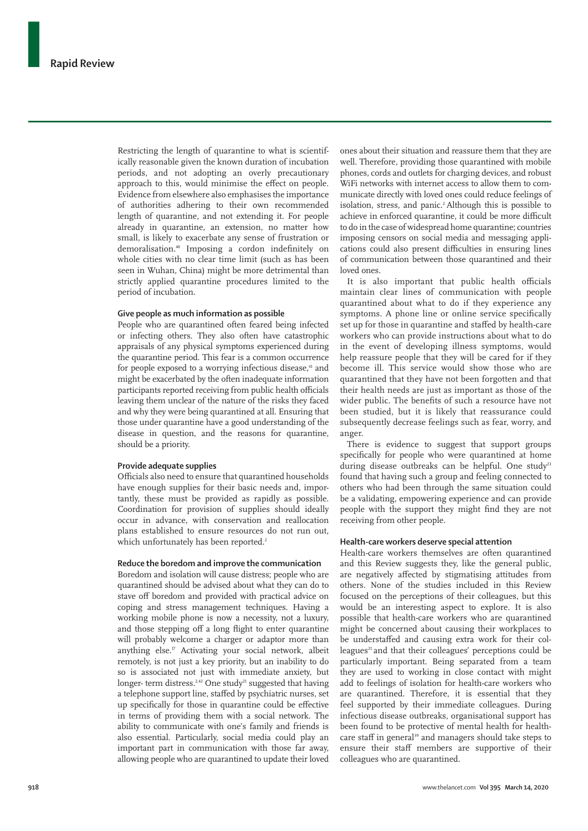Restricting the length of quarantine to what is scientifically reasonable given the known duration of incubation periods, and not adopting an overly precautionary approach to this, would minimise the effect on people. Evidence from elsewhere also emphasises the importance of authorities adhering to their own recommended length of quarantine, and not extending it. For people already in quarantine, an extension, no matter how small, is likely to exacerbate any sense of frustration or demoralisation.40 Imposing a cordon indefinitely on whole cities with no clear time limit (such as has been seen in Wuhan, China) might be more detrimental than strictly applied quarantine procedures limited to the period of incubation.

## **Give people as much information as possible**

People who are quarantined often feared being infected or infecting others. They also often have catastrophic appraisals of any physical symptoms experienced during the quarantine period. This fear is a common occurrence for people exposed to a worrying infectious disease,<sup>41</sup> and might be exacerbated by the often inadequate information participants reported receiving from public health officials leaving them unclear of the nature of the risks they faced and why they were being quarantined at all. Ensuring that those under quarantine have a good understanding of the disease in question, and the reasons for quarantine, should be a priority.

## **Provide adequate supplies**

Officials also need to ensure that quarantined households have enough supplies for their basic needs and, importantly, these must be provided as rapidly as possible. Coordination for provision of supplies should ideally occur in advance, with conservation and reallocation plans established to ensure resources do not run out, which unfortunately has been reported.<sup>2</sup>

## **Reduce the boredom and improve the communication**

Boredom and isolation will cause distress; people who are quarantined should be advised about what they can do to stave off boredom and provided with practical advice on coping and stress management techniques. Having a working mobile phone is now a necessity, not a luxury, and those stepping off a long flight to enter quarantine will probably welcome a charger or adaptor more than anything else.<sup>17</sup> Activating your social network, albeit remotely, is not just a key priority, but an inability to do so is associated not just with immediate anxiety, but longer- term distress.<sup>2,42</sup> One study<sup>21</sup> suggested that having a telephone support line, staffed by psychiatric nurses, set up specifically for those in quarantine could be effective in terms of providing them with a social network. The ability to communicate with one's family and friends is also essential. Particularly, social media could play an important part in communication with those far away, allowing people who are quarantined to update their loved ones about their situation and reassure them that they are well. Therefore, providing those quarantined with mobile phones, cords and outlets for charging devices, and robust WiFi networks with internet access to allow them to communicate directly with loved ones could reduce feelings of isolation, stress, and panic.<sup>2</sup> Although this is possible to achieve in enforced quarantine, it could be more difficult to do in the case of widespread home quarantine; countries imposing censors on social media and messaging applications could also present difficulties in ensuring lines of communication between those quarantined and their loved ones.

It is also important that public health officials maintain clear lines of communication with people quarantined about what to do if they experience any symptoms. A phone line or online service specifically set up for those in quarantine and staffed by health-care workers who can provide instructions about what to do in the event of developing illness symptoms, would help reassure people that they will be cared for if they become ill. This service would show those who are quarantined that they have not been forgotten and that their health needs are just as important as those of the wider public. The benefits of such a resource have not been studied, but it is likely that reassurance could subsequently decrease feelings such as fear, worry, and anger.

There is evidence to suggest that support groups specifically for people who were quarantined at home during disease outbreaks can be helpful. One study<sup>23</sup> found that having such a group and feeling connected to others who had been through the same situation could be a validating, empowering experience and can provide people with the support they might find they are not receiving from other people.

## **Health-care workers deserve special attention**

Health-care workers themselves are often quarantined and this Review suggests they, like the general public, are negatively affected by stigmatising attitudes from others. None of the studies included in this Review focused on the perceptions of their colleagues, but this would be an interesting aspect to explore. It is also possible that health-care workers who are quarantined might be concerned about causing their workplaces to be understaffed and causing extra work for their colleagues<sup>21</sup> and that their colleagues' perceptions could be particularly important. Being separated from a team they are used to working in close contact with might add to feelings of isolation for health-care workers who are quarantined. Therefore, it is essential that they feel supported by their immediate colleagues. During infectious disease outbreaks, organisational support has been found to be protective of mental health for healthcare staff in general<sup>39</sup> and managers should take steps to ensure their staff members are supportive of their colleagues who are quarantined.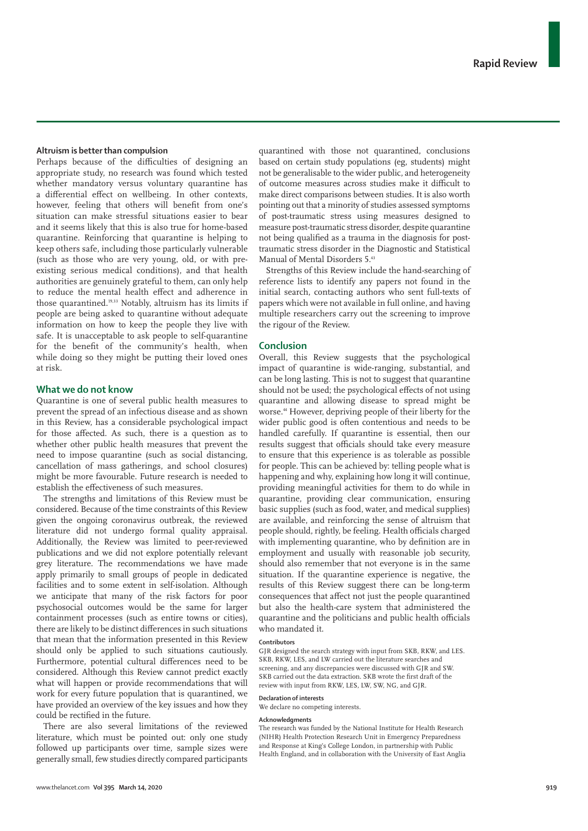## **Altruism is better than compulsion**

Perhaps because of the difficulties of designing an appropriate study, no research was found which tested whether mandatory versus voluntary quarantine has a differential effect on wellbeing. In other contexts, however, feeling that others will benefit from one's situation can make stressful situations easier to bear and it seems likely that this is also true for home-based quarantine. Reinforcing that quarantine is helping to keep others safe, including those particularly vulnerable (such as those who are very young, old, or with preexisting serious medical conditions), and that health authorities are genuinely grateful to them, can only help to reduce the mental health effect and adherence in those quarantined.19,33 Notably, altruism has its limits if people are being asked to quarantine without adequate information on how to keep the people they live with safe. It is unacceptable to ask people to self-quarantine for the benefit of the community's health, when while doing so they might be putting their loved ones at risk.

## **What we do not know**

Quarantine is one of several public health measures to prevent the spread of an infectious disease and as shown in this Review, has a considerable psychological impact for those affected. As such, there is a question as to whether other public health measures that prevent the need to impose quarantine (such as social distancing, cancellation of mass gatherings, and school closures) might be more favourable. Future research is needed to establish the effectiveness of such measures.

The strengths and limitations of this Review must be considered. Because of the time constraints of this Review given the ongoing coronavirus outbreak, the reviewed literature did not undergo formal quality appraisal. Additionally, the Review was limited to peer-reviewed publications and we did not explore potentially relevant grey literature. The recommendations we have made apply primarily to small groups of people in dedicated facilities and to some extent in self-isolation. Although we anticipate that many of the risk factors for poor psychosocial outcomes would be the same for larger containment processes (such as entire towns or cities), there are likely to be distinct differences in such situations that mean that the information presented in this Review should only be applied to such situations cautiously. Furthermore, potential cultural differences need to be considered. Although this Review cannot predict exactly what will happen or provide recommendations that will work for every future population that is quarantined, we have provided an overview of the key issues and how they could be rectified in the future.

There are also several limitations of the reviewed literature, which must be pointed out: only one study followed up participants over time, sample sizes were generally small, few studies directly compared participants quarantined with those not quarantined, conclusions based on certain study populations (eg, students) might not be generalisable to the wider public, and heterogeneity of outcome measures across studies make it difficult to make direct comparisons between studies. It is also worth pointing out that a minority of studies assessed symptoms of post-traumatic stress using measures designed to measure post-traumatic stress disorder, despite quarantine not being qualified as a trauma in the diagnosis for posttraumatic stress disorder in the Diagnostic and Statistical Manual of Mental Disorders 5.43

Strengths of this Review include the hand-searching of reference lists to identify any papers not found in the initial search, contacting authors who sent full-texts of papers which were not available in full online, and having multiple researchers carry out the screening to improve the rigour of the Review.

## **Conclusion**

Overall, this Review suggests that the psychological impact of quarantine is wide-ranging, substantial, and can be long lasting. This is not to suggest that quarantine should not be used; the psychological effects of not using quarantine and allowing disease to spread might be worse.<sup>44</sup> However, depriving people of their liberty for the wider public good is often contentious and needs to be handled carefully. If quarantine is essential, then our results suggest that officials should take every measure to ensure that this experience is as tolerable as possible for people. This can be achieved by: telling people what is happening and why, explaining how long it will continue, providing meaningful activities for them to do while in quarantine, providing clear communication, ensuring basic supplies (such as food, water, and medical supplies) are available, and reinforcing the sense of altruism that people should, rightly, be feeling. Health officials charged with implementing quarantine, who by definition are in employment and usually with reasonable job security, should also remember that not everyone is in the same situation. If the quarantine experience is negative, the results of this Review suggest there can be long-term consequences that affect not just the people quarantined but also the health-care system that administered the quarantine and the politicians and public health officials who mandated it.

#### **Contributors**

GJR designed the search strategy with input from SKB, RKW, and LES. SKB, RKW, LES, and LW carried out the literature searches and screening, and any discrepancies were discussed with GJR and SW. SKB carried out the data extraction. SKB wrote the first draft of the review with input from RKW, LES, LW, SW, NG, and GJR.

**Declaration of interests**

We declare no competing interests.

#### **Acknowledgments**

The research was funded by the National Institute for Health Research (NIHR) Health Protection Research Unit in Emergency Preparedness and Response at King's College London, in partnership with Public Health England, and in collaboration with the University of East Anglia